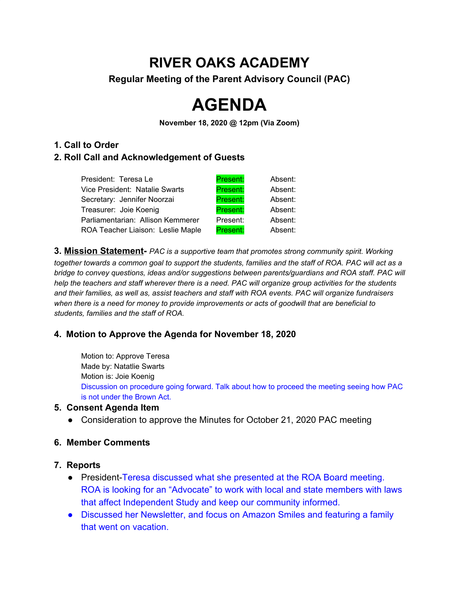# **RIVER OAKS ACADEMY**

**Regular Meeting of the Parent Advisory Council (PAC)**

# **AGENDA**

**November 18, 2020 @ 12pm (Via Zoom)**

#### **1. Call to Order**

# **2. Roll Call and Acknowledgement of Guests**

| President: Teresa Le              | Present: | Absent: |
|-----------------------------------|----------|---------|
| Vice President: Natalie Swarts    | Present: | Absent: |
| Secretary: Jennifer Noorzai       | Present: | Absent: |
| Treasurer: Joie Koenig            | Present: | Absent: |
| Parliamentarian: Allison Kemmerer | Present: | Absent: |
| ROA Teacher Liaison: Leslie Maple | Present: | Absent: |

**3. Mission Statement-** *PAC is a supportive team that promotes strong community spirit. Working* together towards a common goal to support the students, families and the staff of ROA. PAC will act as a *bridge to convey questions, ideas and/or suggestions between parents/guardians and ROA staff. PAC will* help the teachers and staff wherever there is a need. PAC will organize group activities for the students *and their families, as well as, assist teachers and staff with ROA events. PAC will organize fundraisers when there is a need for money to provide improvements or acts of goodwill that are beneficial to students, families and the staff of ROA.*

# **4. Motion to Approve the Agenda for November 18, 2020**

Motion to: Approve Teresa Made by: Natatlie Swarts Motion is: Joie Koenig Discussion on procedure going forward. Talk about how to proceed the meeting seeing how PAC is not under the Brown Act.

# **5. Consent Agenda Item**

• Consideration to approve the Minutes for October 21, 2020 PAC meeting

# **6. Member Comments**

- **7. Reports**
	- President-Teresa discussed what she presented at the ROA Board meeting. ROA is looking for an "Advocate" to work with local and state members with laws that affect Independent Study and keep our community informed.
	- Discussed her Newsletter, and focus on Amazon Smiles and featuring a family that went on vacation.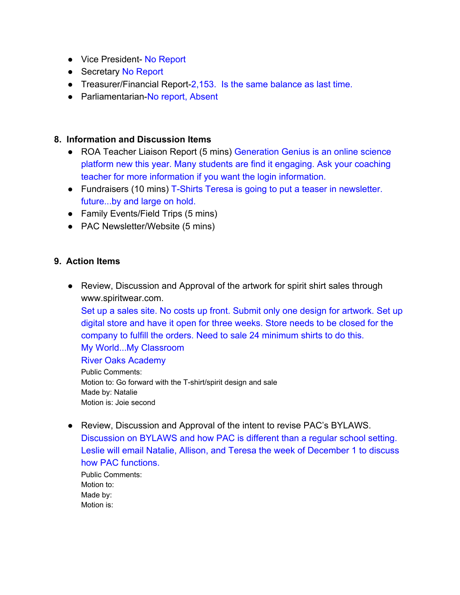- Vice President- No Report
- Secretary No Report
- Treasurer/Financial Report-2,153. Is the same balance as last time.
- Parliamentarian-No report, Absent

#### **8. Information and Discussion Items**

- ROA Teacher Liaison Report (5 mins) Generation Genius is an online science platform new this year. Many students are find it engaging. Ask your coaching teacher for more information if you want the login information.
- Fundraisers (10 mins) T-Shirts Teresa is going to put a teaser in newsletter. future...by and large on hold.
- Family Events/Field Trips (5 mins)
- PAC Newsletter/Website (5 mins)

# **9. Action Items**

● Review, Discussion and Approval of the artwork for spirit shirt sales through www.spiritwear.com.

Set up a sales site. No costs up front. Submit only one design for artwork. Set up digital store and have it open for three weeks. Store needs to be closed for the company to fulfill the orders. Need to sale 24 minimum shirts to do this. My World...My Classroom

#### River Oaks Academy

Public Comments: Motion to: Go forward with the T-shirt/spirit design and sale Made by: Natalie Motion is: Joie second

● Review, Discussion and Approval of the intent to revise PAC's BYLAWS. Discussion on BYLAWS and how PAC is different than a regular school setting. Leslie will email Natalie, Allison, and Teresa the week of December 1 to discuss how PAC functions.

Public Comments: Motion to: Made by: Motion is: